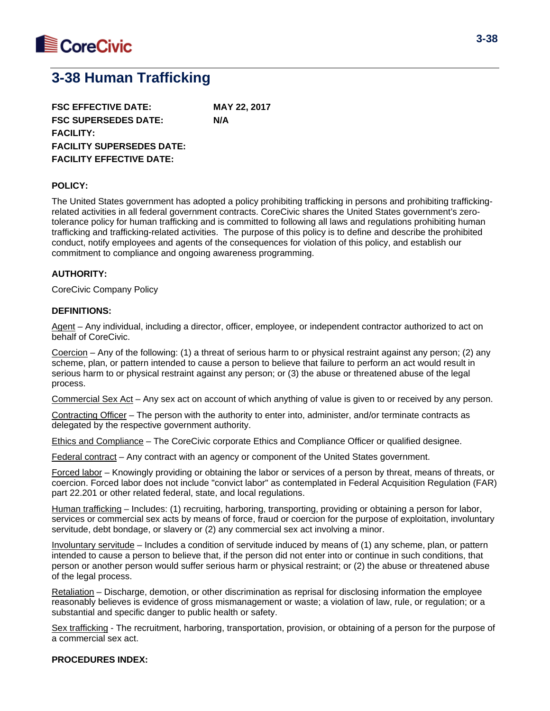

# **3-38 Human Trafficking**

**FSC EFFECTIVE DATE: MAY 22, 2017 FSC SUPERSEDES DATE: N/A FACILITY: FACILITY SUPERSEDES DATE: FACILITY EFFECTIVE DATE:**

#### **POLICY:**

The United States government has adopted a policy prohibiting trafficking in persons and prohibiting traffickingrelated activities in all federal government contracts. CoreCivic shares the United States government's zerotolerance policy for human trafficking and is committed to following all laws and regulations prohibiting human trafficking and trafficking-related activities. The purpose of this policy is to define and describe the prohibited conduct, notify employees and agents of the consequences for violation of this policy, and establish our commitment to compliance and ongoing awareness programming.

#### **AUTHORITY:**

CoreCivic Company Policy

#### **DEFINITIONS:**

Agent – Any individual, including a director, officer, employee, or independent contractor authorized to act on behalf of CoreCivic.

Coercion – Any of the following: (1) a threat of serious harm to or physical restraint against any person; (2) any scheme, plan, or pattern intended to cause a person to believe that failure to perform an act would result in serious harm to or physical restraint against any person; or (3) the abuse or threatened abuse of the legal process.

Commercial Sex Act – Any sex act on account of which anything of value is given to or received by any person.

Contracting Officer – The person with the authority to enter into, administer, and/or terminate contracts as delegated by the respective government authority.

Ethics and Compliance – The CoreCivic corporate Ethics and Compliance Officer or qualified designee.

Federal contract – Any contract with an agency or component of the United States government.

Forced labor – Knowingly providing or obtaining the labor or services of a person by threat, means of threats, or coercion. Forced labor does not include "convict labor" as contemplated in Federal Acquisition Regulation (FAR) part 22.201 or other related federal, state, and local regulations.

Human trafficking – Includes: (1) recruiting, harboring, transporting, providing or obtaining a person for labor, services or commercial sex acts by means of force, fraud or coercion for the purpose of exploitation, involuntary servitude, debt bondage, or slavery or (2) any commercial sex act involving a minor.

Involuntary servitude – Includes a condition of servitude induced by means of (1) any scheme, plan, or pattern intended to cause a person to believe that, if the person did not enter into or continue in such conditions, that person or another person would suffer serious harm or physical restraint; or (2) the abuse or threatened abuse of the legal process.

Retaliation – Discharge, demotion, or other discrimination as reprisal for disclosing information the employee reasonably believes is evidence of gross mismanagement or waste; a violation of law, rule, or regulation; or a substantial and specific danger to public health or safety.

Sex trafficking - The recruitment, harboring, transportation, provision, or obtaining of a person for the purpose of a commercial sex act.

#### **PROCEDURES INDEX:**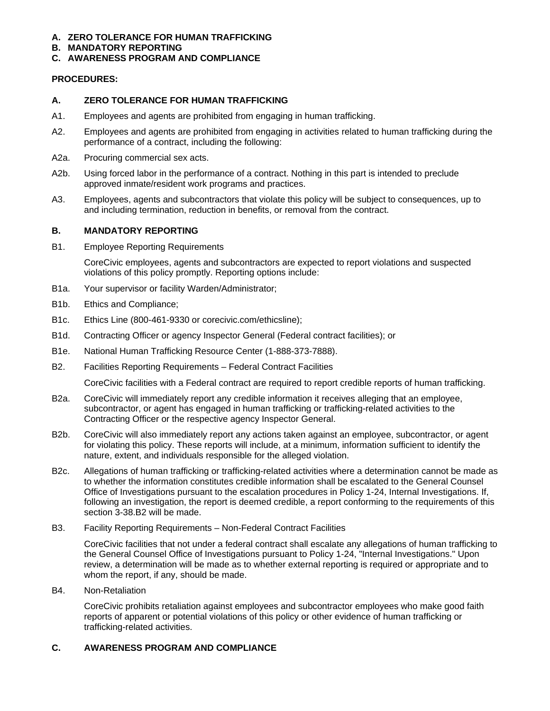### **A. ZERO TOLERANCE FOR HUMAN TRAFFICKING**

**B. MANDATORY REPORTING**

## **C. AWARENESS PROGRAM AND COMPLIANCE**

## **PROCEDURES:**

## **A. ZERO TOLERANCE FOR HUMAN TRAFFICKING**

- A1. Employees and agents are prohibited from engaging in human trafficking.
- A2. Employees and agents are prohibited from engaging in activities related to human trafficking during the performance of a contract, including the following:
- A2a. Procuring commercial sex acts.
- A2b. Using forced labor in the performance of a contract. Nothing in this part is intended to preclude approved inmate/resident work programs and practices.
- A3. Employees, agents and subcontractors that violate this policy will be subject to consequences, up to and including termination, reduction in benefits, or removal from the contract.

### **B. MANDATORY REPORTING**

B1. Employee Reporting Requirements

CoreCivic employees, agents and subcontractors are expected to report violations and suspected violations of this policy promptly. Reporting options include:

- B1a. Your supervisor or facility Warden/Administrator;
- B1b. Ethics and Compliance;
- B1c. Ethics Line (800-461-9330 or corecivic.com/ethicsline);
- B1d. Contracting Officer or agency Inspector General (Federal contract facilities); or
- B1e. National Human Trafficking Resource Center (1-888-373-7888).
- B2. Facilities Reporting Requirements Federal Contract Facilities

CoreCivic facilities with a Federal contract are required to report credible reports of human trafficking.

- B2a. CoreCivic will immediately report any credible information it receives alleging that an employee, subcontractor, or agent has engaged in human trafficking or trafficking-related activities to the Contracting Officer or the respective agency Inspector General.
- B2b. CoreCivic will also immediately report any actions taken against an employee, subcontractor, or agent for violating this policy. These reports will include, at a minimum, information sufficient to identify the nature, extent, and individuals responsible for the alleged violation.
- B2c. Allegations of human trafficking or trafficking-related activities where a determination cannot be made as to whether the information constitutes credible information shall be escalated to the General Counsel Office of Investigations pursuant to the escalation procedures in Policy 1-24, Internal Investigations. If, following an investigation, the report is deemed credible, a report conforming to the requirements of this section 3-38.B2 will be made.

#### B3. Facility Reporting Requirements – Non-Federal Contract Facilities

CoreCivic facilities that not under a federal contract shall escalate any allegations of human trafficking to the General Counsel Office of Investigations pursuant to Policy 1-24, "Internal Investigations." Upon review, a determination will be made as to whether external reporting is required or appropriate and to whom the report, if any, should be made.

B4. Non-Retaliation

CoreCivic prohibits retaliation against employees and subcontractor employees who make good faith reports of apparent or potential violations of this policy or other evidence of human trafficking or trafficking-related activities.

#### **C. AWARENESS PROGRAM AND COMPLIANCE**